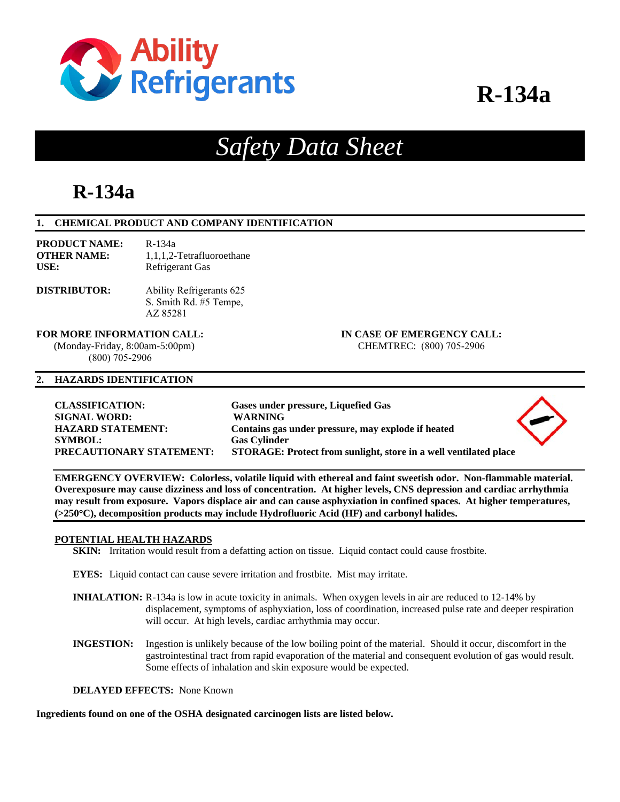

# **R-134a**

# *Safety Data Sheet*

# **R-134a**

# **1. CHEMICAL PRODUCT AND COMPANY IDENTIFICATION**

| <b>PRODUCT NAME:</b> | R-134a                    |
|----------------------|---------------------------|
| <b>OTHER NAME:</b>   | 1.1.1.2-Tetrafluoroethane |
| USE:                 | Refrigerant Gas           |

#### **DISTRIBUTOR:**  Ability Refrigerants 625 S. Smith Rd. #5 Tempe, AZ 85281

**FOR MORE INFORMATION CALL: IN CASE OF EMERGENCY CALL:** 

(800) 705-2906

# (Monday-Friday, 8:00am-5:00pm) CHEMTREC: (800) 705-2906

### **2. HAZARDS IDENTIFICATION**

**CLASSIFICATION: Gases under pressure, Liquefied Gas SIGNAL WORD: WARNING SYMBOL: Gas Cylinder** 

**HAZARD STATEMENT: Contains gas under pressure, may explode if heated PRECAUTIONARY STATEMENT: STORAGE: Protect from sunlight, store in a well ventilated place** 



**EMERGENCY OVERVIEW: Colorless, volatile liquid with ethereal and faint sweetish odor. Non-flammable material. Overexposure may cause dizziness and loss of concentration. At higher levels, CNS depression and cardiac arrhythmia may result from exposure. Vapors displace air and can cause asphyxiation in confined spaces. At higher temperatures, (>250C), decomposition products may include Hydrofluoric Acid (HF) and carbonyl halides.** 

# **POTENTIAL HEALTH HAZARDS**

**SKIN:** Irritation would result from a defatting action on tissue. Liquid contact could cause frostbite.

**EYES:** Liquid contact can cause severe irritation and frostbite. Mist may irritate.

- **INHALATION:** R-134a is low in acute toxicity in animals. When oxygen levels in air are reduced to 12-14% by displacement, symptoms of asphyxiation, loss of coordination, increased pulse rate and deeper respiration will occur. At high levels, cardiac arrhythmia may occur.
- **INGESTION:** Ingestion is unlikely because of the low boiling point of the material. Should it occur, discomfort in the gastrointestinal tract from rapid evaporation of the material and consequent evolution of gas would result. Some effects of inhalation and skin exposure would be expected.

**DELAYED EFFECTS:** None Known

**Ingredients found on one of the OSHA designated carcinogen lists are listed below.**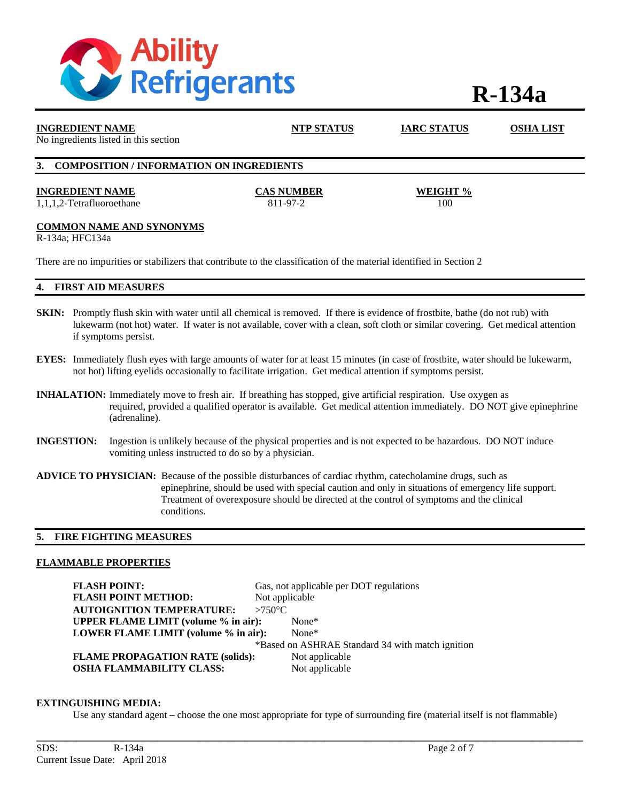

# **R-134a**

| <b>INGREDIENT NAME</b><br>No ingredients listed in this section                                                                                                                                                                                                                                 | <b>NTP STATUS</b>             | <b>IARC STATUS</b> | <b>OSHA LIST</b> |  |
|-------------------------------------------------------------------------------------------------------------------------------------------------------------------------------------------------------------------------------------------------------------------------------------------------|-------------------------------|--------------------|------------------|--|
| <b>COMPOSITION / INFORMATION ON INGREDIENTS</b><br>3.                                                                                                                                                                                                                                           |                               |                    |                  |  |
| <b>INGREDIENT NAME</b><br>1,1,1,2-Tetrafluoroethane                                                                                                                                                                                                                                             | <b>CAS NUMBER</b><br>811-97-2 | WEIGHT %<br>100    |                  |  |
| <b>COMMON NAME AND SYNONYMS</b><br>R-134a; HFC134a                                                                                                                                                                                                                                              |                               |                    |                  |  |
| There are no impurities or stabilizers that contribute to the classification of the material identified in Section 2                                                                                                                                                                            |                               |                    |                  |  |
| <b>FIRST AID MEASURES</b>                                                                                                                                                                                                                                                                       |                               |                    |                  |  |
| <b>SKIN:</b> Promptly flush skin with water until all chemical is removed. If there is evidence of frostbite, bathe (do not rub) with<br>lukewarm (not hot) water. If water is not available, cover with a clean, soft cloth or similar covering. Get medical attention<br>if symptoms persist. |                               |                    |                  |  |

- **EYES:** Immediately flush eyes with large amounts of water for at least 15 minutes (in case of frostbite, water should be lukewarm, not hot) lifting eyelids occasionally to facilitate irrigation. Get medical attention if symptoms persist.
- **INHALATION:** Immediately move to fresh air. If breathing has stopped, give artificial respiration. Use oxygen as required, provided a qualified operator is available. Get medical attention immediately. DO NOT give epinephrine (adrenaline).
- **INGESTION:** Ingestion is unlikely because of the physical properties and is not expected to be hazardous. DO NOT induce vomiting unless instructed to do so by a physician.
- **ADVICE TO PHYSICIAN:** Because of the possible disturbances of cardiac rhythm, catecholamine drugs, such as epinephrine, should be used with special caution and only in situations of emergency life support. Treatment of overexposure should be directed at the control of symptoms and the clinical conditions.

# **5. FIRE FIGHTING MEASURES**

#### **FLAMMABLE PROPERTIES**

| <b>FLASH POINT:</b>                                    |                  | Gas, not applicable per DOT regulations |
|--------------------------------------------------------|------------------|-----------------------------------------|
| <b>FLASH POINT METHOD:</b>                             | Not applicable   |                                         |
| <b>AUTOIGNITION TEMPERATURE:</b>                       | $>750^{\circ}$ C |                                         |
| <b>UPPER FLAME LIMIT</b> (volume % in air):<br>$None*$ |                  |                                         |
| LOWER FLAME LIMIT (volume % in air):                   |                  | $None*$                                 |
| *Based on ASHRAE Standard 34 with match ignition       |                  |                                         |
| <b>FLAME PROPAGATION RATE (solids):</b>                |                  | Not applicable                          |
| <b>OSHA FLAMMABILITY CLASS:</b>                        |                  | Not applicable                          |

#### **EXTINGUISHING MEDIA:**

Use any standard agent – choose the one most appropriate for type of surrounding fire (material itself is not flammable)

**\_\_\_\_\_\_\_\_\_\_\_\_\_\_\_\_\_\_\_\_\_\_\_\_\_\_\_\_\_\_\_\_\_\_\_\_\_\_\_\_\_\_\_\_\_\_\_\_\_\_\_\_\_\_\_\_\_\_\_\_\_\_\_\_\_\_\_\_\_\_\_\_\_\_\_\_\_\_\_\_\_\_\_\_\_\_\_\_\_\_\_\_\_\_\_\_\_\_\_\_\_\_\_\_\_\_\_\_**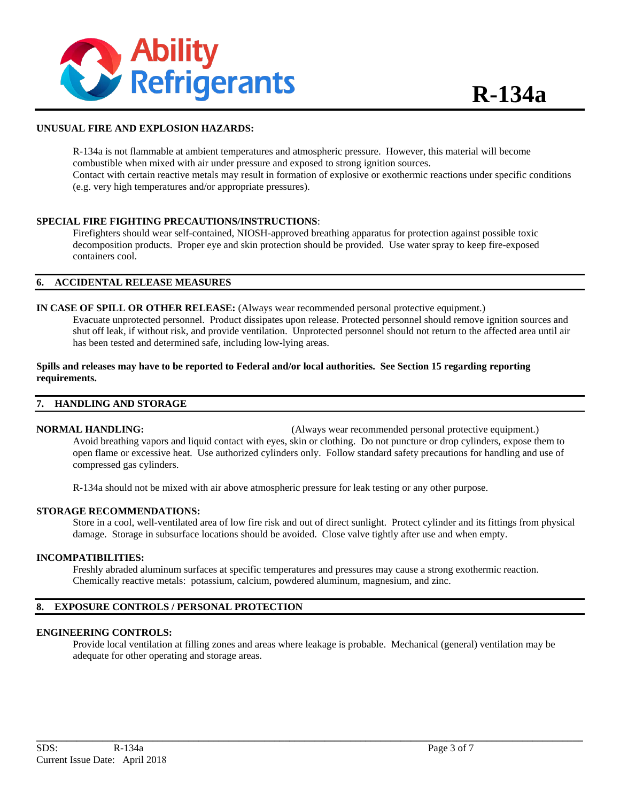

# **UNUSUAL FIRE AND EXPLOSION HAZARDS:**

R-134a is not flammable at ambient temperatures and atmospheric pressure. However, this material will become combustible when mixed with air under pressure and exposed to strong ignition sources. Contact with certain reactive metals may result in formation of explosive or exothermic reactions under specific conditions (e.g. very high temperatures and/or appropriate pressures).

### **SPECIAL FIRE FIGHTING PRECAUTIONS/INSTRUCTIONS**:

Firefighters should wear self-contained, NIOSH-approved breathing apparatus for protection against possible toxic decomposition products. Proper eye and skin protection should be provided. Use water spray to keep fire-exposed containers cool.

### **6. ACCIDENTAL RELEASE MEASURES**

# **IN CASE OF SPILL OR OTHER RELEASE:** (Always wear recommended personal protective equipment.)

Evacuate unprotected personnel. Product dissipates upon release. Protected personnel should remove ignition sources and shut off leak, if without risk, and provide ventilation. Unprotected personnel should not return to the affected area until air has been tested and determined safe, including low-lying areas.

# **Spills and releases may have to be reported to Federal and/or local authorities. See Section 15 regarding reporting requirements.**

#### **7. HANDLING AND STORAGE**

**NORMAL HANDLING:** (Always wear recommended personal protective equipment.) Avoid breathing vapors and liquid contact with eyes, skin or clothing. Do not puncture or drop cylinders, expose them to open flame or excessive heat. Use authorized cylinders only. Follow standard safety precautions for handling and use of compressed gas cylinders.

R-134a should not be mixed with air above atmospheric pressure for leak testing or any other purpose.

#### **STORAGE RECOMMENDATIONS:**

Store in a cool, well-ventilated area of low fire risk and out of direct sunlight. Protect cylinder and its fittings from physical damage. Storage in subsurface locations should be avoided. Close valve tightly after use and when empty.

#### **INCOMPATIBILITIES:**

Freshly abraded aluminum surfaces at specific temperatures and pressures may cause a strong exothermic reaction. Chemically reactive metals: potassium, calcium, powdered aluminum, magnesium, and zinc.

# **8. EXPOSURE CONTROLS / PERSONAL PROTECTION**

#### **ENGINEERING CONTROLS:**

Provide local ventilation at filling zones and areas where leakage is probable. Mechanical (general) ventilation may be adequate for other operating and storage areas.

**\_\_\_\_\_\_\_\_\_\_\_\_\_\_\_\_\_\_\_\_\_\_\_\_\_\_\_\_\_\_\_\_\_\_\_\_\_\_\_\_\_\_\_\_\_\_\_\_\_\_\_\_\_\_\_\_\_\_\_\_\_\_\_\_\_\_\_\_\_\_\_\_\_\_\_\_\_\_\_\_\_\_\_\_\_\_\_\_\_\_\_\_\_\_\_\_\_\_\_\_\_\_\_\_\_\_\_\_**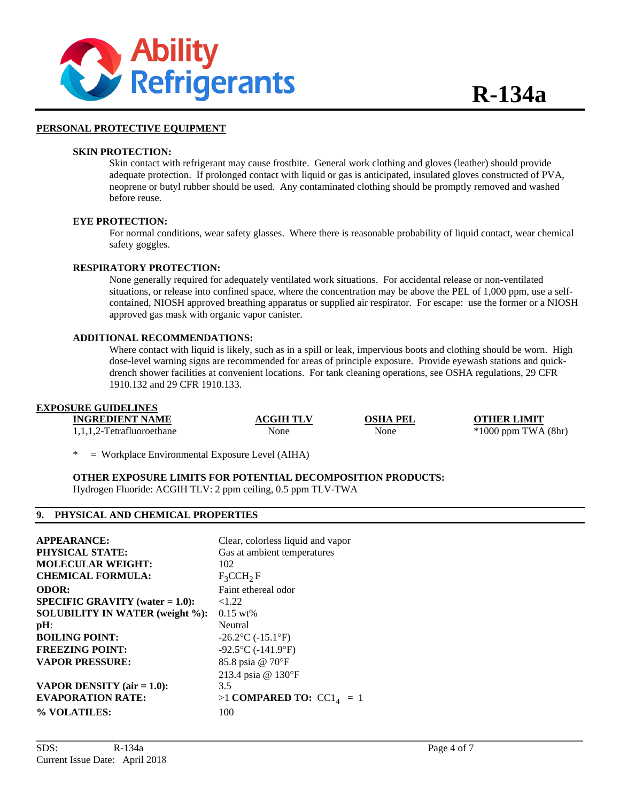

### **PERSONAL PROTECTIVE EQUIPMENT**

#### **SKIN PROTECTION:**

Skin contact with refrigerant may cause frostbite. General work clothing and gloves (leather) should provide adequate protection. If prolonged contact with liquid or gas is anticipated, insulated gloves constructed of PVA, neoprene or butyl rubber should be used. Any contaminated clothing should be promptly removed and washed before reuse.

### **EYE PROTECTION:**

For normal conditions, wear safety glasses. Where there is reasonable probability of liquid contact, wear chemical safety goggles.

#### **RESPIRATORY PROTECTION:**

None generally required for adequately ventilated work situations. For accidental release or non-ventilated situations, or release into confined space, where the concentration may be above the PEL of 1,000 ppm, use a self contained, NIOSH approved breathing apparatus or supplied air respirator. For escape: use the former or a NIOSH approved gas mask with organic vapor canister.

#### **ADDITIONAL RECOMMENDATIONS:**

Where contact with liquid is likely, such as in a spill or leak, impervious boots and clothing should be worn. High dose-level warning signs are recommended for areas of principle exposure. Provide eyewash stations and quick drench shower facilities at convenient locations. For tank cleaning operations, see OSHA regulations, 29 CFR 1910.132 and 29 CFR 1910.133.

# **EXPOSURE GUIDELINES**

| <b>INGREDIENT NAME</b>       | <b>ACGIH TLV</b> | <b>OSHA PEL</b> | <b>OTHER LIMIT</b>      |
|------------------------------|------------------|-----------------|-------------------------|
| $1,1,1,2$ -Tetrafluoroethane | None             | None            | $*1000$ ppm TWA $(8hr)$ |

**\_\_\_\_\_\_\_\_\_\_\_\_\_\_\_\_\_\_\_\_\_\_\_\_\_\_\_\_\_\_\_\_\_\_\_\_\_\_\_\_\_\_\_\_\_\_\_\_\_\_\_\_\_\_\_\_\_\_\_\_\_\_\_\_\_\_\_\_\_\_\_\_\_\_\_\_\_\_\_\_\_\_\_\_\_\_\_\_\_\_\_\_\_\_\_\_\_\_\_\_\_\_\_\_\_\_\_\_** 

 $=$  Workplace Environmental Exposure Level (AIHA)

**OTHER EXPOSURE LIMITS FOR POTENTIAL DECOMPOSITION PRODUCTS:** 

Hydrogen Fluoride: ACGIH TLV: 2 ppm ceiling, 0.5 ppm TLV-TWA

# **9. PHYSICAL AND CHEMICAL PROPERTIES**

| <b>APPEARANCE:</b>                        | Clear, colorless liquid and vapor |
|-------------------------------------------|-----------------------------------|
| PHYSICAL STATE:                           | Gas at ambient temperatures       |
| <b>MOLECULAR WEIGHT:</b>                  | 102                               |
| <b>CHEMICAL FORMULA:</b>                  | $F_3CCH_2F$                       |
| <b>ODOR:</b>                              | Faint ethereal odor               |
| <b>SPECIFIC GRAVITY</b> (water $= 1.0$ ): | < 1.22                            |
| <b>SOLUBILITY IN WATER (weight %):</b>    | $0.15 \text{ wt\%}$               |
| $pH$ :                                    | Neutral                           |
| <b>BOILING POINT:</b>                     | $-26.2$ °C ( $-15.1$ °F)          |
| <b>FREEZING POINT:</b>                    | $-92.5$ °C ( $-141.9$ °F)         |
| <b>VAPOR PRESSURE:</b>                    | 85.8 psia @ 70°F                  |
|                                           | 213.4 psia @ 130°F                |
| VAPOR DENSITY $(air = 1.0)$ :             | 3.5                               |
| <b>EVAPORATION RATE:</b>                  | $>1$ COMPARED TO: $CC14 = 1$      |
| % VOLATILES:                              | 100                               |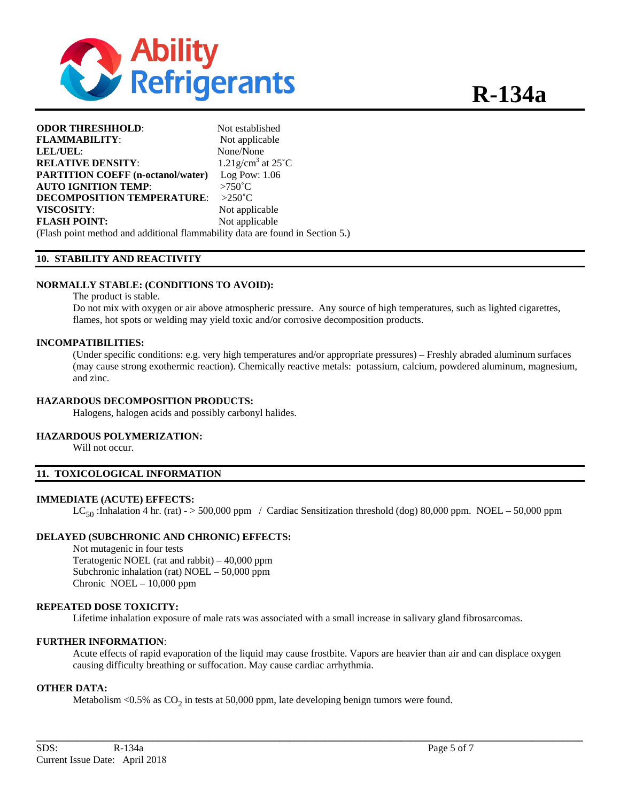

| <b>ODOR THRESHHOLD:</b>                                                       | Not established                            |
|-------------------------------------------------------------------------------|--------------------------------------------|
| <b>FLAMMABILITY:</b>                                                          | Not applicable                             |
| LEL/UEL:                                                                      | None/None                                  |
| <b>RELATIVE DENSITY:</b>                                                      | $1.21$ g/cm <sup>3</sup> at $25^{\circ}$ C |
| <b>PARTITION COEFF (n-octanol/water)</b>                                      | Log Pow: $1.06$                            |
| <b>AUTO IGNITION TEMP:</b>                                                    | $>750^{\circ}$ C                           |
| <b>DECOMPOSITION TEMPERATURE:</b>                                             | $>250^{\circ}$ C                           |
| VISCOSITY:                                                                    | Not applicable                             |
| <b>FLASH POINT:</b>                                                           | Not applicable                             |
| (Flash point method and additional flammability data are found in Section 5.) |                                            |

# **10. STABILITY AND REACTIVITY**

#### **NORMALLY STABLE: (CONDITIONS TO AVOID):**

The product is stable.

Do not mix with oxygen or air above atmospheric pressure. Any source of high temperatures, such as lighted cigarettes, flames, hot spots or welding may yield toxic and/or corrosive decomposition products.

#### **INCOMPATIBILITIES:**

(Under specific conditions: e.g. very high temperatures and/or appropriate pressures) – Freshly abraded aluminum surfaces (may cause strong exothermic reaction). Chemically reactive metals: potassium, calcium, powdered aluminum, magnesium, and zinc.

#### **HAZARDOUS DECOMPOSITION PRODUCTS:**

Halogens, halogen acids and possibly carbonyl halides.

#### **HAZARDOUS POLYMERIZATION:**

Will not occur.

### **11. TOXICOLOGICAL INFORMATION**

#### **IMMEDIATE (ACUTE) EFFECTS:**

 $LC_{50}$ :Inhalation 4 hr. (rat) - > 500,000 ppm / Cardiac Sensitization threshold (dog) 80,000 ppm. NOEL – 50,000 ppm

#### **DELAYED (SUBCHRONIC AND CHRONIC) EFFECTS:**

Not mutagenic in four tests Teratogenic NOEL (rat and rabbit) – 40,000 ppm Subchronic inhalation (rat) NOEL – 50,000 ppm Chronic NOEL – 10,000 ppm

# **REPEATED DOSE TOXICITY:**

Lifetime inhalation exposure of male rats was associated with a small increase in salivary gland fibrosarcomas.

#### **FURTHER INFORMATION**:

Acute effects of rapid evaporation of the liquid may cause frostbite. Vapors are heavier than air and can displace oxygen causing difficulty breathing or suffocation. May cause cardiac arrhythmia.

**\_\_\_\_\_\_\_\_\_\_\_\_\_\_\_\_\_\_\_\_\_\_\_\_\_\_\_\_\_\_\_\_\_\_\_\_\_\_\_\_\_\_\_\_\_\_\_\_\_\_\_\_\_\_\_\_\_\_\_\_\_\_\_\_\_\_\_\_\_\_\_\_\_\_\_\_\_\_\_\_\_\_\_\_\_\_\_\_\_\_\_\_\_\_\_\_\_\_\_\_\_\_\_\_\_\_\_\_** 

# **OTHER DATA:**

Metabolism <0.5% as  $CO<sub>2</sub>$  in tests at 50,000 ppm, late developing benign tumors were found.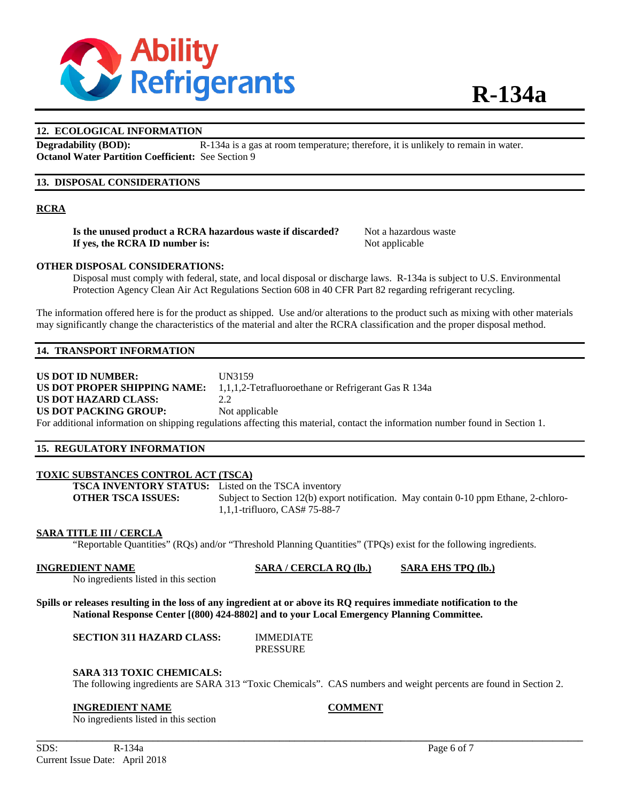

# **12. ECOLOGICAL INFORMATION**

**Degradability (BOD):** R-134a is a gas at room temperature; therefore, it is unlikely to remain in water. **Octanol Water Partition Coefficient:** See Section 9

# **13. DISPOSAL CONSIDERATIONS**

# **RCRA**

**Is the unused product a RCRA hazardous waste if discarded?** Not a hazardous waste **If yes, the RCRA ID number is:** Not applicable

# **OTHER DISPOSAL CONSIDERATIONS:**

Disposal must comply with federal, state, and local disposal or discharge laws. R-134a is subject to U.S. Environmental Protection Agency Clean Air Act Regulations Section 608 in 40 CFR Part 82 regarding refrigerant recycling.

The information offered here is for the product as shipped. Use and/or alterations to the product such as mixing with other materials may significantly change the characteristics of the material and alter the RCRA classification and the proper disposal method.

# **14. TRANSPORT INFORMATION**

# **US DOT ID NUMBER:** UN3159 **US DOT PROPER SHIPPING NAME:** 1,1,1,2-Tetrafluoroethane or Refrigerant Gas R 134a **US DOT HAZARD CLASS:** 2.2 **US DOT PACKING GROUP:** Not applicable

For additional information on shipping regulations affecting this material, contact the information number found in Section 1.

# **15. REGULATORY INFORMATION**

# **TOXIC SUBSTANCES CONTROL ACT (TSCA)**

**TSCA INVENTORY STATUS:** Listed on the TSCA inventory **OTHER TSCA ISSUES:** Subject to Section 12(b) export notification. May contain 0-10 ppm Ethane, 2-chloro-1,1,1-trifluoro, CAS# 75-88-7

# **SARA TITLE III / CERCLA**

"Reportable Quantities" (RQs) and/or "Threshold Planning Quantities" (TPQs) exist for the following ingredients.

No ingredients listed in this section

**INGREDIENT NAME SARA / CERCLA RQ (lb.) SARA EHS TPQ (lb.)**

**Spills or releases resulting in the loss of any ingredient at or above its RQ requires immediate notification to the National Response Center [(800) 424-8802] and to your Local Emergency Planning Committee.** 

**SECTION 311 HAZARD CLASS:** IMMEDIATE

PRESSURE

#### **SARA 313 TOXIC CHEMICALS:**

The following ingredients are SARA 313 "Toxic Chemicals". CAS numbers and weight percents are found in Section 2.

**\_\_\_\_\_\_\_\_\_\_\_\_\_\_\_\_\_\_\_\_\_\_\_\_\_\_\_\_\_\_\_\_\_\_\_\_\_\_\_\_\_\_\_\_\_\_\_\_\_\_\_\_\_\_\_\_\_\_\_\_\_\_\_\_\_\_\_\_\_\_\_\_\_\_\_\_\_\_\_\_\_\_\_\_\_\_\_\_\_\_\_\_\_\_\_\_\_\_\_\_\_\_\_\_\_\_\_\_** 

#### **INGREDIENT NAME COMMENT**

No ingredients listed in this section